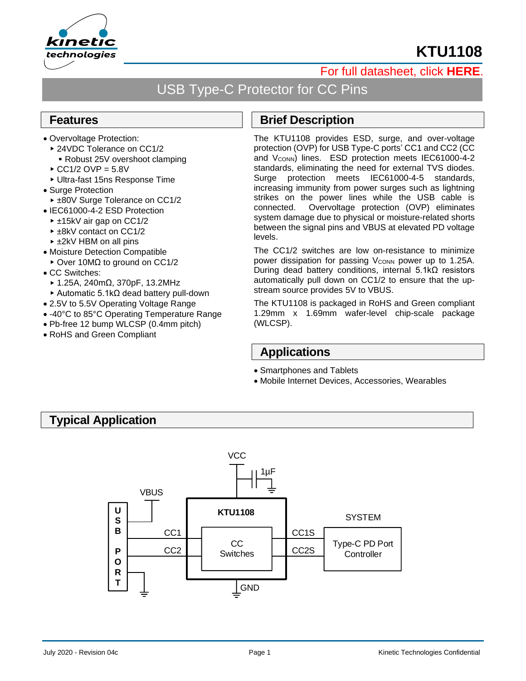



## [For full datasheet, click](http://www.kinet-ic.com/site/datasheet#level-1) **HERE**.

# USB Type-C Protector for CC Pins

#### **Features**

- Overvoltage Protection:
	- ▶ 24VDC Tolerance on CC1/2 ■ Robust 25V overshoot clamping
	- $\triangle$  CC1/2 OVP = 5.8V
	- Ultra-fast 15ns Response Time
- Surge Protection
- ► ±80V Surge Tolerance on CC1/2
- IEC61000-4-2 ESD Protection
- ±15kV air gap on CC1/2
- ► ±8kV contact on CC1/2
- ► ±2kV HBM on all pins
- Moisture Detection Compatible
- Over 10MΩ to ground on CC1/2
- CC Switches:
	- 1.25A, 240mΩ, 370pF, 13.2MHz
	- Automatic 5.1kΩ dead battery pull-down
- 2.5V to 5.5V Operating Voltage Range
- -40°C to 85°C Operating Temperature Range
- Pb-free 12 bump WLCSP (0.4mm pitch)
- RoHS and Green Compliant

#### **Brief Description**

The KTU1108 provides ESD, surge, and over-voltage protection (OVP) for USB Type-C ports' CC1 and CC2 (CC and V<sub>CONN</sub>) lines. ESD protection meets IEC61000-4-2 standards, eliminating the need for external TVS diodes. Surge protection meets IEC61000-4-5 standards, increasing immunity from power surges such as lightning strikes on the power lines while the USB cable is connected. Overvoltage protection (OVP) eliminates system damage due to physical or moisture-related shorts between the signal pins and VBUS at elevated PD voltage levels.

The CC1/2 switches are low on-resistance to minimize power dissipation for passing V<sub>CONN</sub> power up to 1.25A. During dead battery conditions, internal 5.1kΩ resistors automatically pull down on CC1/2 to ensure that the upstream source provides 5V to VBUS.

The KTU1108 is packaged in RoHS and Green compliant 1.29mm x 1.69mm wafer-level chip-scale package (WLCSP).

#### **Applications**

- Smartphones and Tablets
- Mobile Internet Devices, Accessories, Wearables

### **Typical Application**